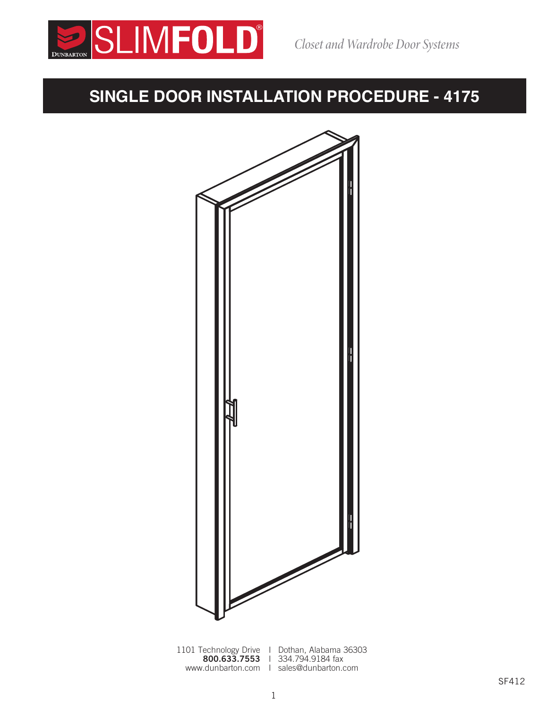

### **SINGLE DOOR INSTALLATION PROCEDURE - 4175**



1101 Technology Drive I Dothan, Alabama 36303 800.633.7553 | 334.794.9184 fax www.dunbarton.com I sales@dunbarton.com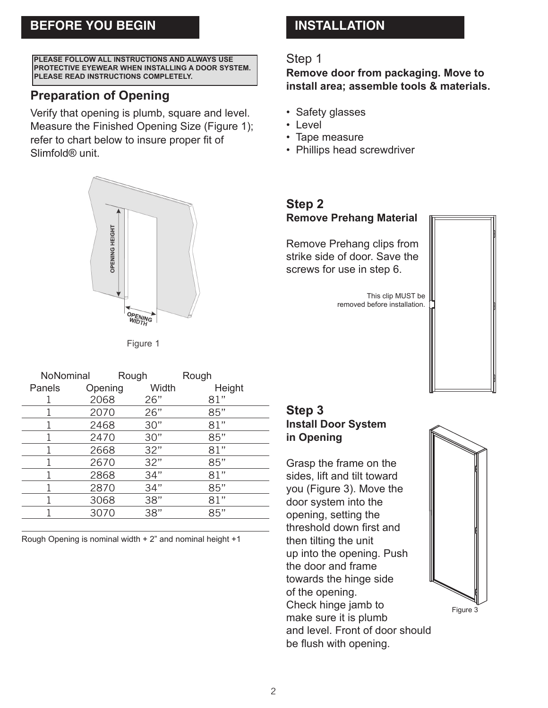#### **BEFORE YOU BEGIN BEFORE YOU BEGIN INSTALLATION**

**PLEASE FOLLOW ALL INSTRUCTIONS AND ALWAYS USE PROTECTIVE EYEWEAR WHEN INSTALLING A DOOR SYSTEM. PLEASE READ INSTRUCTIONS COMPLETELY.**

#### **Preparation of Opening Preparation of Opening**

Verify that opening is plumb, square and level. Verify that opening is plumb, square and level. Measure the Finished Opening Size (Figure 1); Measure the Finished Opening Size (Figure 1); refer to chart below to insure proper fit of refer to chart below to insure proper fit of Slimfold® unit.

# OPENING HEIGHT OPENING<br>WIDTH

Figure 1

| NoNominal |        | Rough   |       | Rough  |                                                                                                                       |
|-----------|--------|---------|-------|--------|-----------------------------------------------------------------------------------------------------------------------|
|           | Panels | Opening | Width | Height |                                                                                                                       |
|           |        | 2068    | 26"   | 81"    |                                                                                                                       |
|           |        | 2070    | 26"   | 85"    | Step 3                                                                                                                |
|           |        | 2468    | 30"   | 81"    | <b>Install Door Syster</b>                                                                                            |
|           |        | 2470    | 30"   | 85"    | in Opening                                                                                                            |
|           |        | 2668    | 32"   | 81"    |                                                                                                                       |
|           |        | 2670    | 32"   | 85"    | Grasp the frame on<br>sides, lift and tilt tow<br>you (Figure 3). Mov<br>door system into the<br>opening, setting the |
|           |        | 2868    | 34"   | 81"    |                                                                                                                       |
|           |        | 2870    | 34"   | 85"    |                                                                                                                       |
|           |        | 3068    | 38"   | 81"    |                                                                                                                       |
|           |        | 3070    | 38"   | 85"    |                                                                                                                       |
|           |        |         |       |        |                                                                                                                       |

**Step 1** Rough Opening is nominal width + 2" and nominal height +1

## **Step 2**

#### **Step 1**

Remove door from packaging. Move to<br>Installations or significate to actual the install area; assemble tools & materials.

- $\theta$  or  $\theta$  put the bottom of putty or silicone action of  $\theta$ • Safety glasses
- Level
- Tape measure
- Phillips head screwdriver

#### **Step 2 Remove Prehang Material**

 ${\sf Remove}$  Prehang clips from  $\|\cdot\|$ strike side of door. Save the screws for use in step 6.

door system in the system in the system in the system into the system into the system into the system into the<br>The system into the system in the system in the system in the system in the system in the system in the system removed before installation. This clip MUST be



#### Check hinge jamb to **Step 3** Install Door System **in Opening**

**Step 4 Install Scrasp the frame on the** sides, lift and tilt toward  $\|\;\|$ you (Figure 3). Move the  $\|\cdot\|$ door system into the threshold down first and then tilting the unit up into the opening. Push the door and frame towards the hinge side of the opening. Check hinge jamb to make sure it is plumb and level. Front of door should be flush with opening.



Figure 3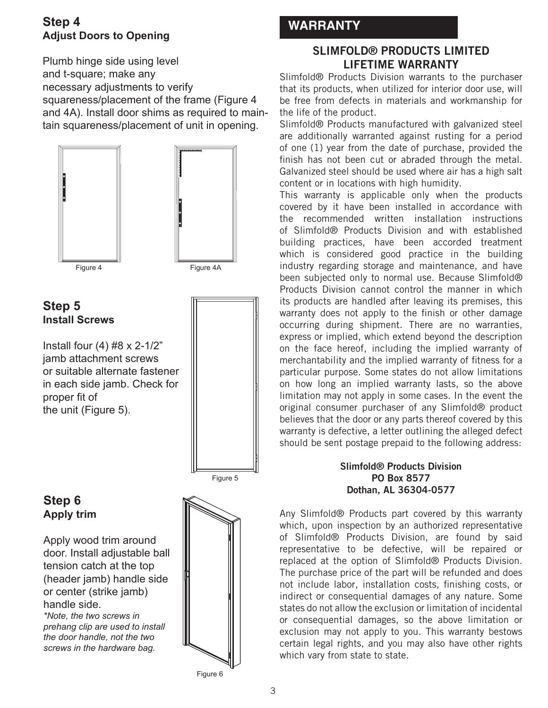#### **Step 4 WARRANTY Adjust Doors to Opening**

Plumb hinge side using level and t-square; make any necessary adjustments to verify squareness/placement of the frame (Figure 4 and 4A). Install door shims as required to maintain squareness/placement of unit in opening.



**Step 5 Install Screws**

Install four  $(4)$  #8 x 2-1/2" jamb attachment screws or suitable alternate fastener in each side jamb. Check for proper fit of the unit (Figure 5).



#### **Step 6 Apply trim**

Apply wood trim around door. Install adjustable ball tension catch at the top (header jamb) handle side or center (strike jamb) handle side.

*\*Note, the two screws in prehang clip are used to install the door handle, not the two screws in the hardware bag.*



#### **SLIMFOLD® PRODUCTS LIMITED LIFETIME WARRANTY**

Slimfold® Products Division warrants to the purchaser that its products, when utilized for interior door use, will be free from defects in materials and workmanship for the life of the product.

Slimfold® Products manufactured with galvanized steel are additionally warranted against rusting for a period of one (1) year from the date of purchase, provided the finish has not been cut or abraded through the metal. Galvanized steel should be used where air has a high salt content or in locations with high humidity.

This warranty is applicable only when the products covered by it have been installed in accordance with the recommended written installation instructions of Slimfold® Products Division and with established building practices, have been accorded treatment which is considered good practice in the building industry regarding storage and maintenance, and have been subjected only to normal use. Because Slimfold® Products Division cannot control the manner in which its products are handled after leaving its premises, this warranty does not apply to the finish or other damage occurring during shipment. There are no warranties, express or implied, which extend beyond the description on the face hereof, including the implied warranty of merchantability and the implied warranty of fitness for a particular purpose. Some states do not allow limitations on how long an implied warranty lasts, so the above limitation may not apply in some cases. In the event the original consumer purchaser of any Slimfold® product believes that the door or any parts thereof covered by this warranty is defective, a letter outlining the alleged defect should be sent postage prepaid to the following address:

#### **Slimfold® Products Division PO Box 8577 Dothan, AL 36304-0577**

Any Slimfold® Products part covered by this warranty which, upon inspection by an authorized representative of Slimfold® Products Division, are found by said representative to be defective, will be repaired or replaced at the option of Slimfold® Products Division. The purchase price of the part will be refunded and does not include labor, installation costs, finishing costs, or indirect or consequential damages of any nature. Some states do not allow the exclusion or limitation of incidental or consequential damages, so the above limitation or exclusion may not apply to you. This warranty bestows certain legal rights, and you may also have other rights which vary from state to state.

Figure 6